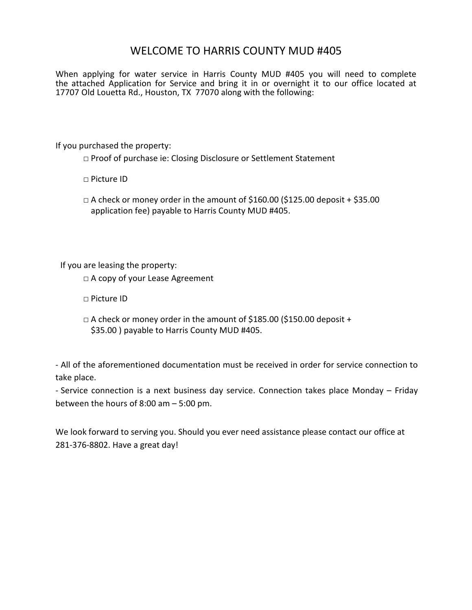# WELCOME TO HARRIS COUNTY MUD #405

When applying for water service in Harris County MUD #405 you will need to complete the attached Application for Service and bring it in or overnight it to our office located at 17707 Old Louetta Rd., Houston, TX 77070 along with the following:

If you purchased the property:

□ Proof of purchase ie: Closing Disclosure or Settlement Statement

□ Picture ID

 $\Box$  A check or money order in the amount of \$160.00 (\$125.00 deposit + \$35.00 application fee) payable to Harris County MUD #405.

If you are leasing the property:

□ A copy of your Lease Agreement

□ Picture ID

 $\Box$  A check or money order in the amount of \$185.00 (\$150.00 deposit + \$35.00 ) payable to Harris County MUD #405.

- All of the aforementioned documentation must be received in order for service connection to take place.

- Service connection is a next business day service. Connection takes place Monday – Friday between the hours of 8:00 am – 5:00 pm.

We look forward to serving you. Should you ever need assistance please contact our office at 281-376-8802. Have a great day!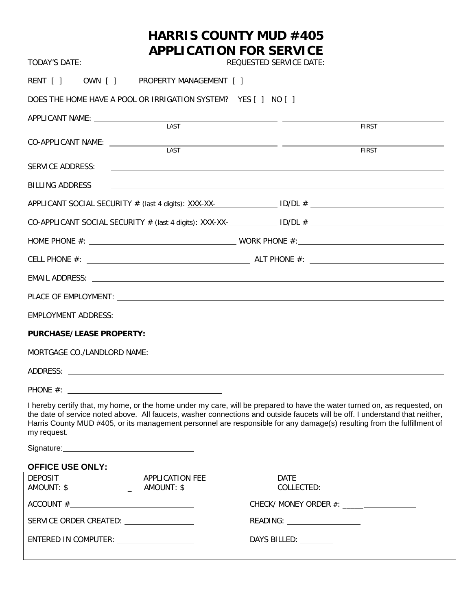# **HARRIS COUNTY MUD #405 APPLICATION FOR SERVICE** TODAY'S DATE: REQUESTED SERVICE DATE: RENT [ ] OWN [ ] PROPERTY MANAGEMENT [ ] DOES THE HOME HAVE A POOL OR IRRIGATION SYSTEM? YES [ 1 NO [ 1 APPLICANT NAME: LAST FIRST CO-APPLICANT NAME: <u> 1989 - Johann John Stone, markin f</u> LAST FIRST SERVICE ADDRESS: BILLING ADDRESS APPLICANT SOCIAL SECURITY  $#$  (last 4 digits): XXX-XX- ID/DL  $#$  ID/DL  $#$  $CO-APPLICANT SOCIAL SECURITY # (last 4 digits): XXX-X — 1D/DL # 2DID.$ HOME PHONE #: WORK PHONE #: CELL PHONE #: ALT PHONE #: EMAIL ADDRESS: PLACE OF EMPLOYMENT: EMPLOYMENT ADDRESS:

#### **PURCHASE/LEASE PROPERTY:**

| MORTGAGE CO./LANDLORD NAME: |  |  |  |
|-----------------------------|--|--|--|
| ADDRESS:                    |  |  |  |
| PHONE #:                    |  |  |  |

I hereby certify that, my home, or the home under my care, will be prepared to have the water turned on, as requested, on the date of service noted above. All faucets, washer connections and outside faucets will be off. I understand that neither, Harris County MUD #405, or its management personnel are responsible for any damage(s) resulting from the fulfillment of my request.

Signature: Signature:

#### **OFFICE USE ONLY:**

| <b>DEPOSIT</b><br>AMOUNT: \$                    | APPLICATION FEE<br>$AMOUNT:$ \$ $\qquad \qquad$ | <b>DATE</b><br>$COLLECTED: \begin{tabular}{@{}c@{}} \quad \quad \quad & \quad \quad & \quad \quad \\ \hline \end{tabular}$ |
|-------------------------------------------------|-------------------------------------------------|----------------------------------------------------------------------------------------------------------------------------|
|                                                 |                                                 |                                                                                                                            |
| SERVICE ORDER CREATED: ________________________ |                                                 | READING: ______________________                                                                                            |
| ENTERED IN COMPUTER: _______________________    |                                                 | DAYS BILLED:                                                                                                               |